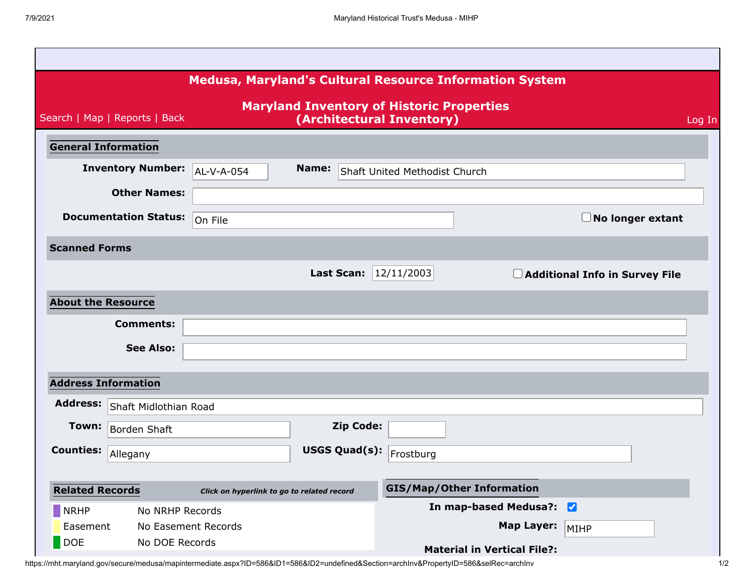|                               |                              |                                            |                           | <b>Medusa, Maryland's Cultural Resource Information System</b> |                   |                                       |        |
|-------------------------------|------------------------------|--------------------------------------------|---------------------------|----------------------------------------------------------------|-------------------|---------------------------------------|--------|
| Search   Map   Reports   Back |                              |                                            | (Architectural Inventory) | <b>Maryland Inventory of Historic Properties</b>               |                   |                                       | Log In |
| <b>General Information</b>    |                              |                                            |                           |                                                                |                   |                                       |        |
|                               | <b>Inventory Number:</b>     | AL-V-A-054                                 | Name:                     | Shaft United Methodist Church                                  |                   |                                       |        |
|                               | <b>Other Names:</b>          |                                            |                           |                                                                |                   |                                       |        |
|                               | <b>Documentation Status:</b> | On File                                    |                           |                                                                |                   | $\Box$ No longer extant               |        |
| <b>Scanned Forms</b>          |                              |                                            |                           |                                                                |                   |                                       |        |
|                               |                              |                                            | <b>Last Scan:</b>         | 12/11/2003                                                     |                   | $\Box$ Additional Info in Survey File |        |
| <b>About the Resource</b>     |                              |                                            |                           |                                                                |                   |                                       |        |
|                               | <b>Comments:</b>             |                                            |                           |                                                                |                   |                                       |        |
|                               | <b>See Also:</b>             |                                            |                           |                                                                |                   |                                       |        |
| <b>Address Information</b>    |                              |                                            |                           |                                                                |                   |                                       |        |
| <b>Address:</b>               | Shaft Midlothian Road        |                                            |                           |                                                                |                   |                                       |        |
| Town:                         | Borden Shaft                 |                                            | <b>Zip Code:</b>          |                                                                |                   |                                       |        |
| <b>Counties:</b>              | Allegany                     |                                            | <b>USGS Quad(s):</b>      | Frostburg                                                      |                   |                                       |        |
| <b>Related Records</b>        |                              |                                            |                           | <b>GIS/Map/Other Information</b>                               |                   |                                       |        |
| NRHP                          | No NRHP Records              | Click on hyperlink to go to related record |                           | In map-based Medusa?: V                                        |                   |                                       |        |
| Easement                      |                              | No Easement Records                        |                           |                                                                | <b>Map Layer:</b> | MIHP                                  |        |
| $\big $ DOE                   | No DOE Records               |                                            |                           | <b>Material in Vertical File?:</b>                             |                   |                                       |        |

https://mht.maryland.gov/secure/medusa/mapintermediate.aspx?ID=586&ID1=586&ID2=undefined&Section=archInv&PropertyID=586&selRec=archInv